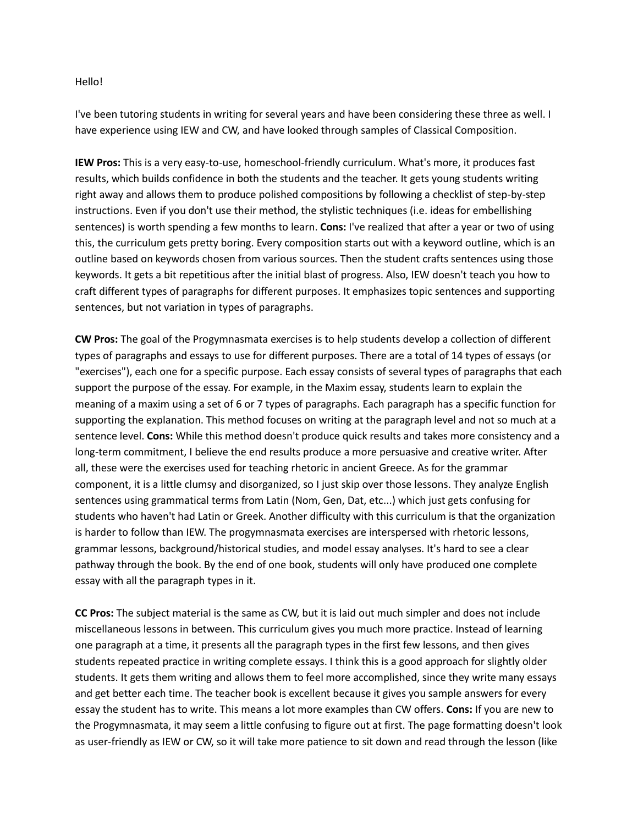## Hello!

I've been tutoring students in writing for several years and have been considering these three as well. I have experience using IEW and CW, and have looked through samples of Classical Composition.

**IEW Pros:** This is a very easy-to-use, homeschool-friendly curriculum. What's more, it produces fast results, which builds confidence in both the students and the teacher. It gets young students writing right away and allows them to produce polished compositions by following a checklist of step-by-step instructions. Even if you don't use their method, the stylistic techniques (i.e. ideas for embellishing sentences) is worth spending a few months to learn. **Cons:** I've realized that after a year or two of using this, the curriculum gets pretty boring. Every composition starts out with a keyword outline, which is an outline based on keywords chosen from various sources. Then the student crafts sentences using those keywords. It gets a bit repetitious after the initial blast of progress. Also, IEW doesn't teach you how to craft different types of paragraphs for different purposes. It emphasizes topic sentences and supporting sentences, but not variation in types of paragraphs.

**CW Pros:** The goal of the Progymnasmata exercises is to help students develop a collection of different types of paragraphs and essays to use for different purposes. There are a total of 14 types of essays (or "exercises"), each one for a specific purpose. Each essay consists of several types of paragraphs that each support the purpose of the essay. For example, in the Maxim essay, students learn to explain the meaning of a maxim using a set of 6 or 7 types of paragraphs. Each paragraph has a specific function for supporting the explanation. This method focuses on writing at the paragraph level and not so much at a sentence level. **Cons:** While this method doesn't produce quick results and takes more consistency and a long-term commitment, I believe the end results produce a more persuasive and creative writer. After all, these were the exercises used for teaching rhetoric in ancient Greece. As for the grammar component, it is a little clumsy and disorganized, so I just skip over those lessons. They analyze English sentences using grammatical terms from Latin (Nom, Gen, Dat, etc...) which just gets confusing for students who haven't had Latin or Greek. Another difficulty with this curriculum is that the organization is harder to follow than IEW. The progymnasmata exercises are interspersed with rhetoric lessons, grammar lessons, background/historical studies, and model essay analyses. It's hard to see a clear pathway through the book. By the end of one book, students will only have produced one complete essay with all the paragraph types in it.

**CC Pros:** The subject material is the same as CW, but it is laid out much simpler and does not include miscellaneous lessons in between. This curriculum gives you much more practice. Instead of learning one paragraph at a time, it presents all the paragraph types in the first few lessons, and then gives students repeated practice in writing complete essays. I think this is a good approach for slightly older students. It gets them writing and allows them to feel more accomplished, since they write many essays and get better each time. The teacher book is excellent because it gives you sample answers for every essay the student has to write. This means a lot more examples than CW offers. **Cons:** If you are new to the Progymnasmata, it may seem a little confusing to figure out at first. The page formatting doesn't look as user-friendly as IEW or CW, so it will take more patience to sit down and read through the lesson (like